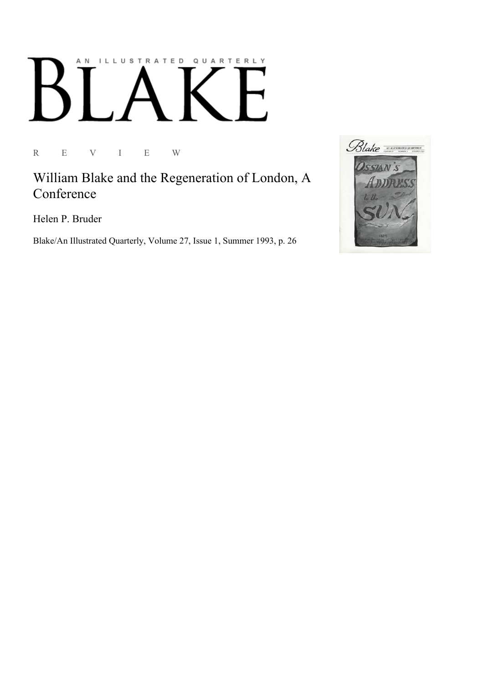## AN ILLUSTRATED QUARTERLY

R E V I E W

William Blake and the Regeneration of London, A **Conference** 

Helen P. Bruder

Blake/An Illustrated Quarterly, Volume 27, Issue 1, Summer 1993, p. 26